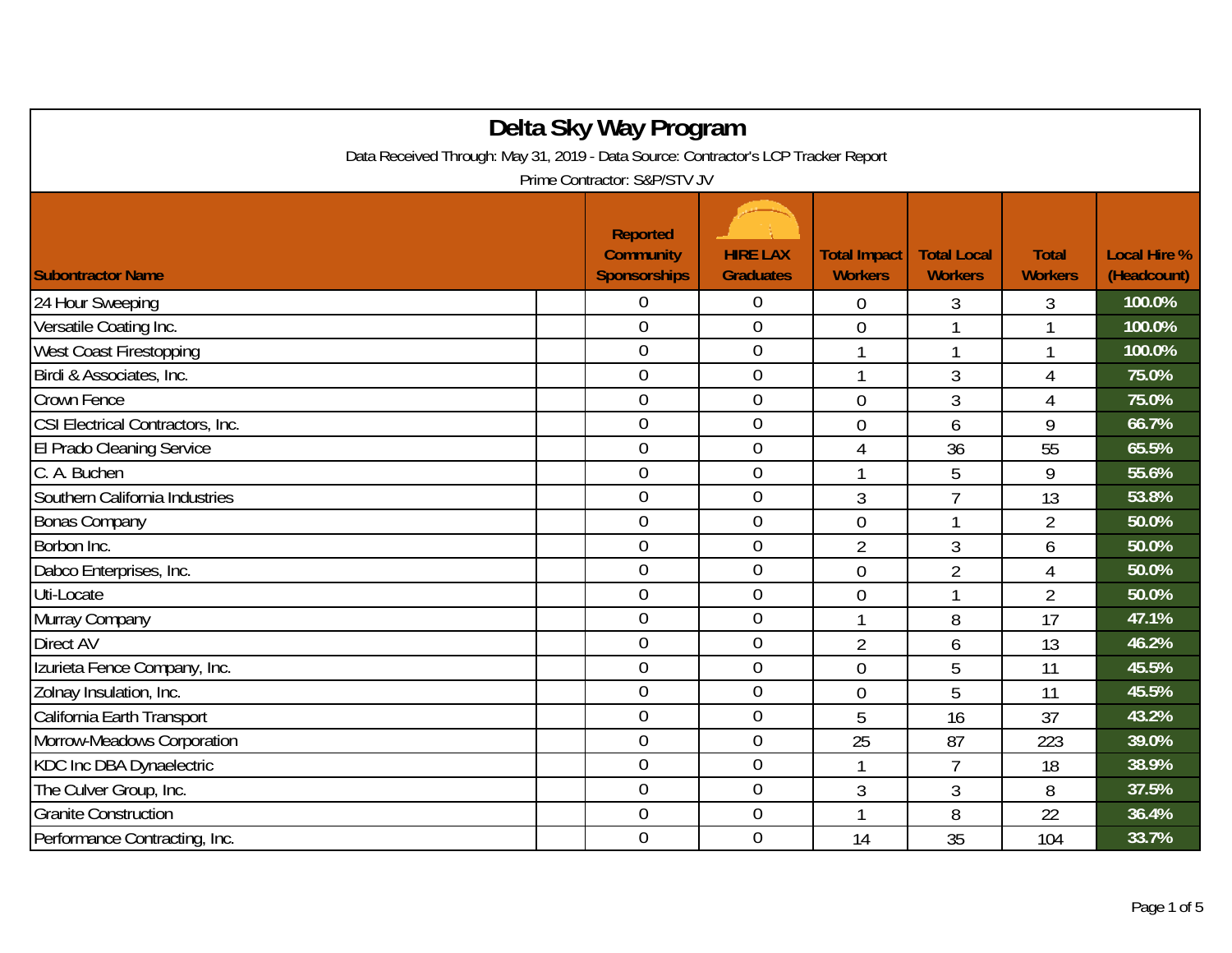| Delta Sky Way Program                                                              |  |                                                            |                                     |                                       |                                      |                                |                                    |  |  |
|------------------------------------------------------------------------------------|--|------------------------------------------------------------|-------------------------------------|---------------------------------------|--------------------------------------|--------------------------------|------------------------------------|--|--|
| Data Received Through: May 31, 2019 - Data Source: Contractor's LCP Tracker Report |  |                                                            |                                     |                                       |                                      |                                |                                    |  |  |
| Prime Contractor: S&P/STV JV                                                       |  |                                                            |                                     |                                       |                                      |                                |                                    |  |  |
| <b>Subontractor Name</b>                                                           |  | <b>Reported</b><br><b>Community</b><br><b>Sponsorships</b> | <b>HIRE LAX</b><br><b>Graduates</b> | <b>Total Impact</b><br><b>Workers</b> | <b>Total Local</b><br><b>Workers</b> | <b>Total</b><br><b>Workers</b> | <b>Local Hire %</b><br>(Headcount) |  |  |
| 24 Hour Sweeping                                                                   |  | 0                                                          | $\boldsymbol{0}$                    | $\overline{0}$                        | 3                                    | 3                              | 100.0%                             |  |  |
| Versatile Coating Inc.                                                             |  | $\overline{0}$                                             | $\boldsymbol{0}$                    | $\overline{0}$                        | 1                                    | 1                              | 100.0%                             |  |  |
| West Coast Firestopping                                                            |  | $\mathbf 0$                                                | $\overline{0}$                      | $\mathbf{1}$                          | 1                                    | 1                              | 100.0%                             |  |  |
| Birdi & Associates, Inc.                                                           |  | $\overline{0}$                                             | $\mathbf 0$                         | 1                                     | 3                                    | 4                              | 75.0%                              |  |  |
| Crown Fence                                                                        |  | $\overline{0}$                                             | $\boldsymbol{0}$                    | $\overline{0}$                        | 3                                    | 4                              | 75.0%                              |  |  |
| CSI Electrical Contractors, Inc.                                                   |  | $\overline{0}$                                             | $\theta$                            | $\overline{0}$                        | 6                                    | 9                              | 66.7%                              |  |  |
| El Prado Cleaning Service                                                          |  | $\overline{0}$                                             | $\boldsymbol{0}$                    | 4                                     | 36                                   | 55                             | 65.5%                              |  |  |
| C. A. Buchen                                                                       |  | $\overline{0}$                                             | $\overline{0}$                      | $\overline{\phantom{a}}$              | 5                                    | 9                              | 55.6%                              |  |  |
| Southern California Industries                                                     |  | $\overline{0}$                                             | $\overline{0}$                      | 3                                     | $\overline{1}$                       | 13                             | 53.8%                              |  |  |
| <b>Bonas Company</b>                                                               |  | $\overline{0}$                                             | $\overline{0}$                      | $\overline{0}$                        | $\mathbf{1}$                         | $\overline{2}$                 | 50.0%                              |  |  |
| Borbon Inc.                                                                        |  | $\overline{0}$                                             | $\boldsymbol{0}$                    | $\overline{2}$                        | 3                                    | 6                              | 50.0%                              |  |  |
| Dabco Enterprises, Inc.                                                            |  | $\overline{0}$                                             | $\overline{0}$                      | $\overline{0}$                        | $\overline{2}$                       | $\overline{4}$                 | 50.0%                              |  |  |
| Uti-Locate                                                                         |  | $\overline{0}$                                             | $\boldsymbol{0}$                    | $\overline{0}$                        | 1                                    | $\overline{2}$                 | 50.0%                              |  |  |
| Murray Company                                                                     |  | $\overline{0}$                                             | $\theta$                            |                                       | 8                                    | 17                             | 47.1%                              |  |  |
| Direct AV                                                                          |  | $\overline{0}$                                             | $\boldsymbol{0}$                    | $\overline{2}$                        | 6                                    | 13                             | 46.2%                              |  |  |
| Izurieta Fence Company, Inc.                                                       |  | $\overline{0}$                                             | $\overline{0}$                      | $\theta$                              | 5                                    | 11                             | 45.5%                              |  |  |
| Zolnay Insulation, Inc.                                                            |  | $\overline{0}$                                             | $\overline{0}$                      | $\overline{0}$                        | 5                                    | 11                             | 45.5%                              |  |  |
| California Earth Transport                                                         |  | $\overline{0}$                                             | $\boldsymbol{0}$                    | 5                                     | 16                                   | 37                             | 43.2%                              |  |  |
| Morrow-Meadows Corporation                                                         |  | $\overline{0}$                                             | $\overline{0}$                      | 25                                    | 87                                   | 223                            | 39.0%                              |  |  |
| KDC Inc DBA Dynaelectric                                                           |  | $\boldsymbol{0}$                                           | $\boldsymbol{0}$                    |                                       | $\overline{7}$                       | 18                             | 38.9%                              |  |  |
| The Culver Group, Inc.                                                             |  | $\overline{0}$                                             | $\overline{0}$                      | $\mathfrak{Z}$                        | 3                                    | 8                              | 37.5%                              |  |  |
| <b>Granite Construction</b>                                                        |  | $\overline{0}$                                             | $\boldsymbol{0}$                    |                                       | 8                                    | 22                             | 36.4%                              |  |  |
| Performance Contracting, Inc.                                                      |  | $\overline{0}$                                             | $\boldsymbol{0}$                    | 14                                    | 35                                   | 104                            | 33.7%                              |  |  |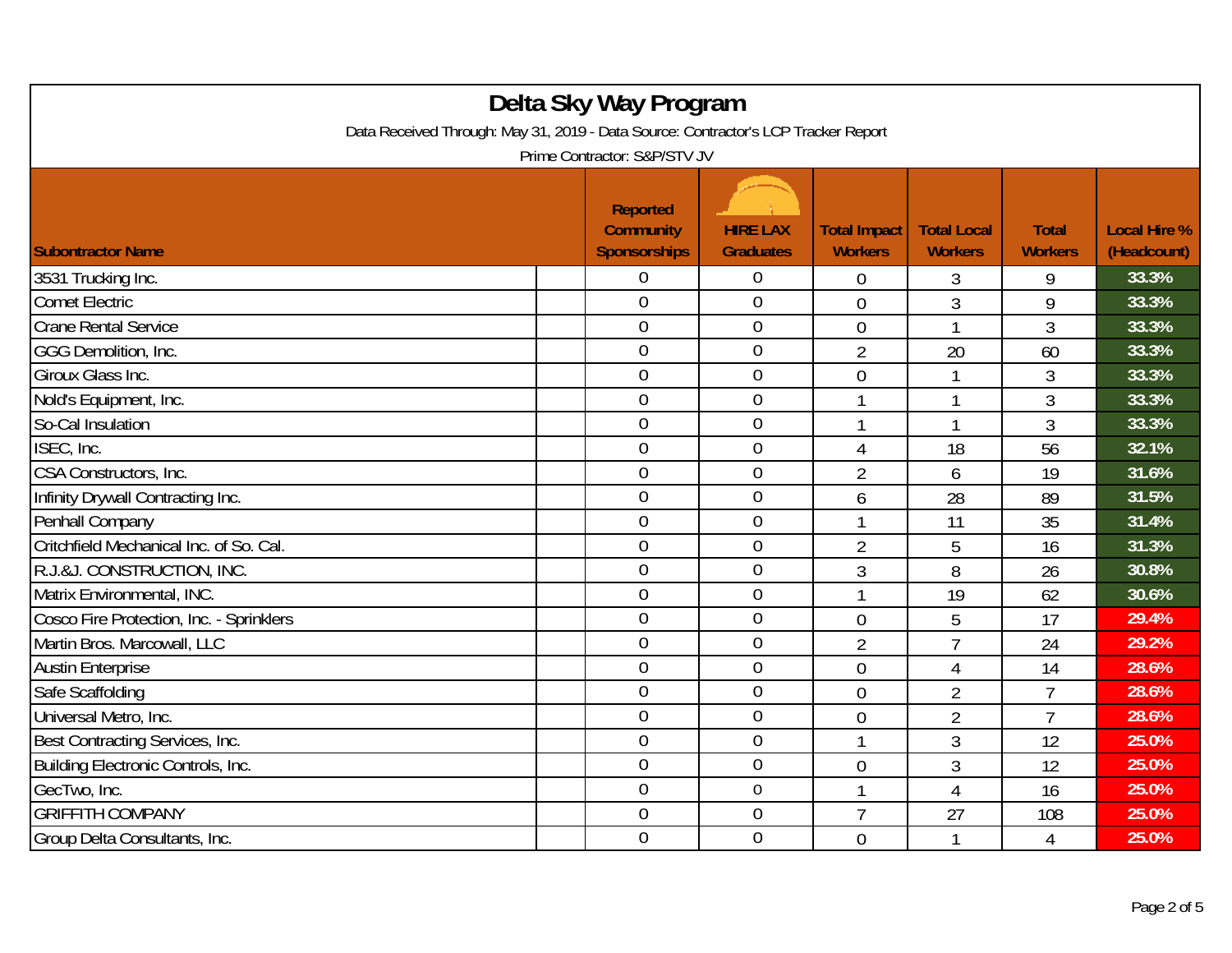| Delta Sky Way Program<br>Data Received Through: May 31, 2019 - Data Source: Contractor's LCP Tracker Report<br>Prime Contractor: S&P/STV JV |  |                                                     |                                     |                                       |                                      |                                |                                    |  |
|---------------------------------------------------------------------------------------------------------------------------------------------|--|-----------------------------------------------------|-------------------------------------|---------------------------------------|--------------------------------------|--------------------------------|------------------------------------|--|
| <b>Subontractor Name</b>                                                                                                                    |  | Reported<br><b>Community</b><br><b>Sponsorships</b> | <b>HIRE LAX</b><br><b>Graduates</b> | <b>Total Impact</b><br><b>Workers</b> | <b>Total Local</b><br><b>Workers</b> | <b>Total</b><br><b>Workers</b> | <b>Local Hire %</b><br>(Headcount) |  |
| 3531 Trucking Inc.                                                                                                                          |  | 0                                                   | $\boldsymbol{0}$                    | $\overline{0}$                        | 3                                    | 9                              | 33.3%                              |  |
| Comet Electric                                                                                                                              |  | $\overline{0}$                                      | $\overline{0}$                      | $\overline{0}$                        | 3                                    | 9                              | 33.3%                              |  |
| <b>Crane Rental Service</b>                                                                                                                 |  | $\overline{0}$                                      | $\boldsymbol{0}$                    | $\overline{0}$                        | 1                                    | 3                              | 33.3%                              |  |
| GGG Demolition, Inc.                                                                                                                        |  | $\overline{0}$                                      | $\boldsymbol{0}$                    | $\overline{2}$                        | 20                                   | 60                             | 33.3%                              |  |
| Giroux Glass Inc.                                                                                                                           |  | $\overline{0}$                                      | $\mathbf 0$                         | 0                                     | $\mathbf{1}$                         | $\overline{3}$                 | 33.3%                              |  |
| Nold's Equipment, Inc.                                                                                                                      |  | $\overline{0}$                                      | $\mathbf 0$                         | 1                                     | 1                                    | 3                              | 33.3%                              |  |
| So-Cal Insulation                                                                                                                           |  | $\overline{0}$                                      | $\mathbf 0$                         |                                       | $\mathbf{1}$                         | 3                              | 33.3%                              |  |
| ISEC, Inc.                                                                                                                                  |  | $\overline{0}$                                      | $\mathbf 0$                         | 4                                     | 18                                   | 56                             | 32.1%                              |  |
| CSA Constructors, Inc.                                                                                                                      |  | $\mathbf 0$                                         | $\boldsymbol{0}$                    | $\overline{2}$                        | 6                                    | 19                             | 31.6%                              |  |
| Infinity Drywall Contracting Inc.                                                                                                           |  | $\mathbf 0$                                         | $\mathbf 0$                         | 6                                     | 28                                   | 89                             | 31.5%                              |  |
| Penhall Company                                                                                                                             |  | $\overline{0}$                                      | $\overline{0}$                      |                                       | 11                                   | 35                             | 31.4%                              |  |
| Critchfield Mechanical Inc. of So. Cal.                                                                                                     |  | $\overline{0}$                                      | $\boldsymbol{0}$                    | $\overline{2}$                        | 5                                    | 16                             | 31.3%                              |  |
| R.J.&J. CONSTRUCTION, INC.                                                                                                                  |  | $\overline{0}$                                      | $\mathbf 0$                         | 3                                     | 8                                    | 26                             | 30.8%                              |  |
| Matrix Environmental, INC.                                                                                                                  |  | $\overline{0}$                                      | $\mathbf 0$                         |                                       | 19                                   | 62                             | 30.6%                              |  |
| Cosco Fire Protection, Inc. - Sprinklers                                                                                                    |  | $\boldsymbol{0}$                                    | $\boldsymbol{0}$                    | 0                                     | 5                                    | 17                             | 29.4%                              |  |
| Martin Bros. Marcowall, LLC                                                                                                                 |  | $\boldsymbol{0}$                                    | $\overline{0}$                      | $\overline{2}$                        | $\overline{7}$                       | 24                             | 29.2%                              |  |
| <b>Austin Enterprise</b>                                                                                                                    |  | $\overline{0}$                                      | $\mathbf 0$                         | $\overline{0}$                        | $\overline{4}$                       | 14                             | 28.6%                              |  |
| Safe Scaffolding                                                                                                                            |  | $\overline{0}$                                      | $\mathbf 0$                         | $\overline{0}$                        | $\overline{2}$                       | 7                              | 28.6%                              |  |
| Universal Metro, Inc.                                                                                                                       |  | $\overline{0}$                                      | $\mathbf 0$                         | $\overline{0}$                        | $\overline{2}$                       | $\overline{7}$                 | 28.6%                              |  |
| Best Contracting Services, Inc.                                                                                                             |  | $\overline{0}$                                      | $\mathbf 0$                         |                                       | 3                                    | 12                             | 25.0%                              |  |
| Building Electronic Controls, Inc.                                                                                                          |  | $\overline{0}$                                      | $\boldsymbol{0}$                    | $\mathbf 0$                           | 3                                    | 12                             | 25.0%                              |  |
| GecTwo, Inc.                                                                                                                                |  | $\overline{0}$                                      | $\mathbf 0$                         | $\overline{1}$                        | $\overline{4}$                       | 16                             | 25.0%                              |  |
| <b>GRIFFITH COMPANY</b>                                                                                                                     |  | $\mathbf 0$                                         | $\boldsymbol{0}$                    | $\overline{7}$                        | 27                                   | 108                            | 25.0%                              |  |
| Group Delta Consultants, Inc.                                                                                                               |  | $\overline{0}$                                      | $\mathbf 0$                         | $\overline{0}$                        | 1                                    | 4                              | 25.0%                              |  |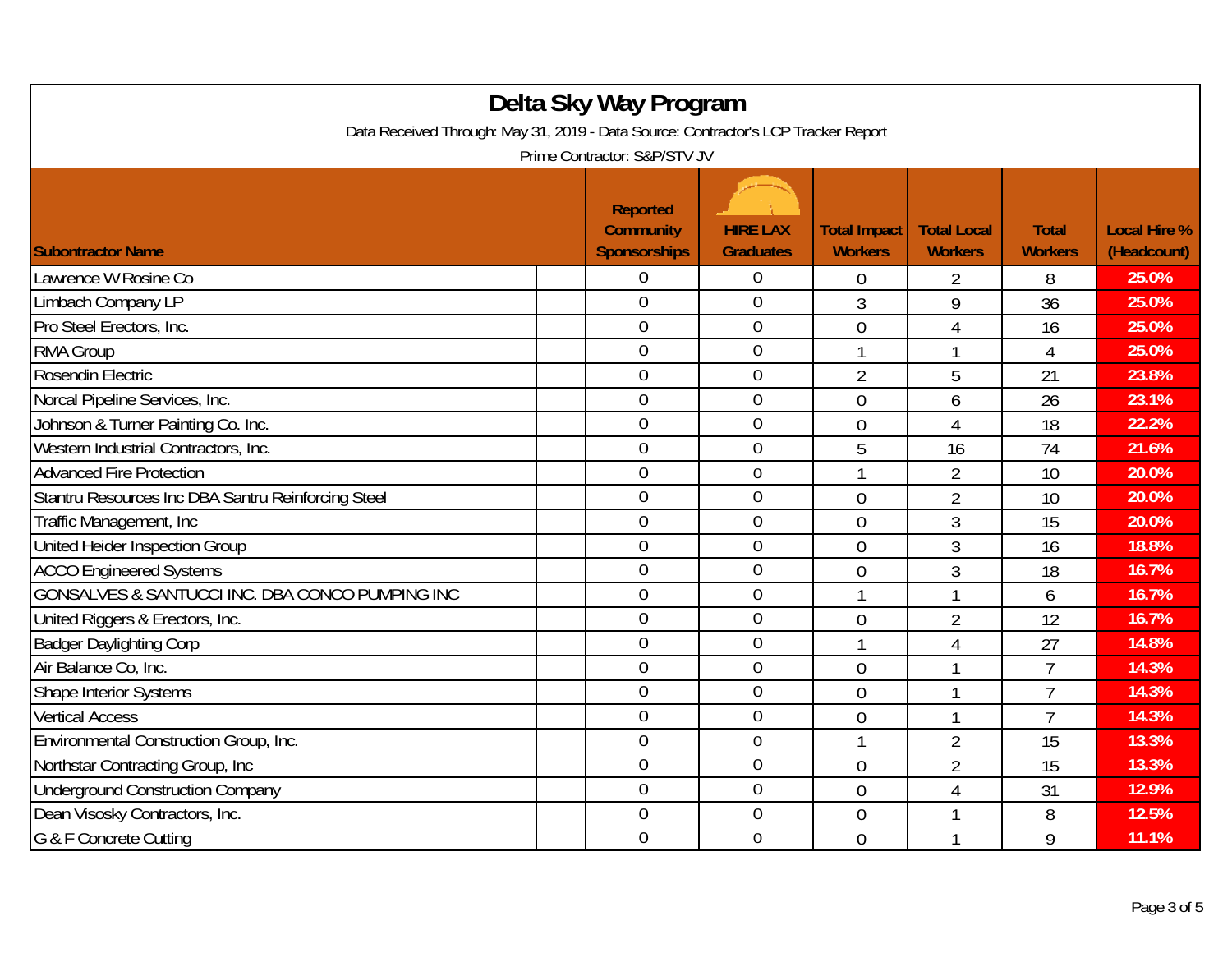| Delta Sky Way Program<br>Data Received Through: May 31, 2019 - Data Source: Contractor's LCP Tracker Report<br>Prime Contractor: S&P/STV JV |  |                                                            |                                     |                                       |                                      |                                |                                    |  |
|---------------------------------------------------------------------------------------------------------------------------------------------|--|------------------------------------------------------------|-------------------------------------|---------------------------------------|--------------------------------------|--------------------------------|------------------------------------|--|
| <b>Subontractor Name</b>                                                                                                                    |  | <b>Reported</b><br><b>Community</b><br><b>Sponsorships</b> | <b>HIRE LAX</b><br><b>Graduates</b> | <b>Total Impact</b><br><b>Workers</b> | <b>Total Local</b><br><b>Workers</b> | <b>Total</b><br><b>Workers</b> | <b>Local Hire %</b><br>(Headcount) |  |
| Lawrence W Rosine Co                                                                                                                        |  | 0                                                          | $\boldsymbol{0}$                    | 0                                     | 2                                    | 8                              | 25.0%                              |  |
| Limbach Company LP                                                                                                                          |  | $\overline{0}$                                             | $\overline{0}$                      | 3                                     | 9                                    | 36                             | 25.0%                              |  |
| Pro Steel Erectors, Inc.                                                                                                                    |  | $\mathbf 0$                                                | $\mathbf 0$                         | $\overline{0}$                        | 4                                    | 16                             | 25.0%                              |  |
| <b>RMA Group</b>                                                                                                                            |  | $\overline{0}$                                             | $\boldsymbol{0}$                    |                                       | 1                                    | $\overline{4}$                 | 25.0%                              |  |
| Rosendin Electric                                                                                                                           |  | $\overline{0}$                                             | $\mathbf 0$                         | $\overline{2}$                        | 5                                    | 21                             | 23.8%                              |  |
| Norcal Pipeline Services, Inc.                                                                                                              |  | $\overline{0}$                                             | $\boldsymbol{0}$                    | $\overline{0}$                        | 6                                    | 26                             | 23.1%                              |  |
| Johnson & Turner Painting Co. Inc.                                                                                                          |  | $\mathbf 0$                                                | $\mathbf 0$                         | $\overline{0}$                        | $\overline{4}$                       | 18                             | 22.2%                              |  |
| Western Industrial Contractors, Inc.                                                                                                        |  | $\overline{0}$                                             | $\overline{0}$                      | 5                                     | 16                                   | 74                             | 21.6%                              |  |
| <b>Advanced Fire Protection</b>                                                                                                             |  | $\overline{0}$                                             | $\boldsymbol{0}$                    |                                       | $\overline{2}$                       | 10                             | 20.0%                              |  |
| Stantru Resources Inc DBA Santru Reinforcing Steel                                                                                          |  | $\overline{0}$                                             | $\overline{0}$                      | $\overline{0}$                        | $\overline{2}$                       | 10                             | 20.0%                              |  |
| Traffic Management, Inc.                                                                                                                    |  | $\overline{0}$                                             | $\mathbf 0$                         | $\overline{0}$                        | 3                                    | 15                             | 20.0%                              |  |
| United Heider Inspection Group                                                                                                              |  | $\overline{0}$                                             | $\mathbf 0$                         | $\overline{0}$                        | 3                                    | 16                             | 18.8%                              |  |
| <b>ACCO Engineered Systems</b>                                                                                                              |  | $\overline{0}$                                             | $\overline{0}$                      | $\overline{0}$                        | 3                                    | 18                             | 16.7%                              |  |
| GONSALVES & SANTUCCI INC. DBA CONCO PUMPING INC                                                                                             |  | $\overline{0}$                                             | $\mathbf 0$                         | 1                                     | 1                                    | 6                              | 16.7%                              |  |
| United Riggers & Erectors, Inc.                                                                                                             |  | $\overline{0}$                                             | $\mathbf 0$                         | $\overline{0}$                        | $\overline{2}$                       | 12                             | 16.7%                              |  |
| <b>Badger Daylighting Corp</b>                                                                                                              |  | $\overline{0}$                                             | $\boldsymbol{0}$                    | $\mathbf{1}$                          | 4                                    | 27                             | 14.8%                              |  |
| Air Balance Co, Inc.                                                                                                                        |  | $\overline{0}$                                             | $\mathbf 0$                         | $\overline{0}$                        | $\mathbf{1}$                         | $\overline{7}$                 | 14.3%                              |  |
| <b>Shape Interior Systems</b>                                                                                                               |  | $\overline{0}$                                             | $\mathbf 0$                         | $\overline{0}$                        | 1                                    | $\overline{7}$                 | 14.3%                              |  |
| <b>Vertical Access</b>                                                                                                                      |  | $\overline{0}$                                             | $\overline{0}$                      | $\overline{0}$                        | 1                                    | $\overline{7}$                 | 14.3%                              |  |
| Environmental Construction Group, Inc.                                                                                                      |  | $\boldsymbol{0}$                                           | $\boldsymbol{0}$                    |                                       | $\overline{2}$                       | 15                             | 13.3%                              |  |
| Northstar Contracting Group, Inc.                                                                                                           |  | $\overline{0}$                                             | $\mathbf 0$                         | $\mathbf 0$                           | $\overline{2}$                       | 15                             | 13.3%                              |  |
| <b>Underground Construction Company</b>                                                                                                     |  | $\overline{0}$                                             | $\overline{0}$                      | $\overline{0}$                        | $\overline{4}$                       | 31                             | 12.9%                              |  |
| Dean Visosky Contractors, Inc.                                                                                                              |  | $\boldsymbol{0}$                                           | $\boldsymbol{0}$                    | $\overline{0}$                        | 1                                    | 8                              | 12.5%                              |  |
| G & F Concrete Cutting                                                                                                                      |  | $\overline{0}$                                             | $\mathbf 0$                         | $\overline{0}$                        | 1                                    | 9                              | 11.1%                              |  |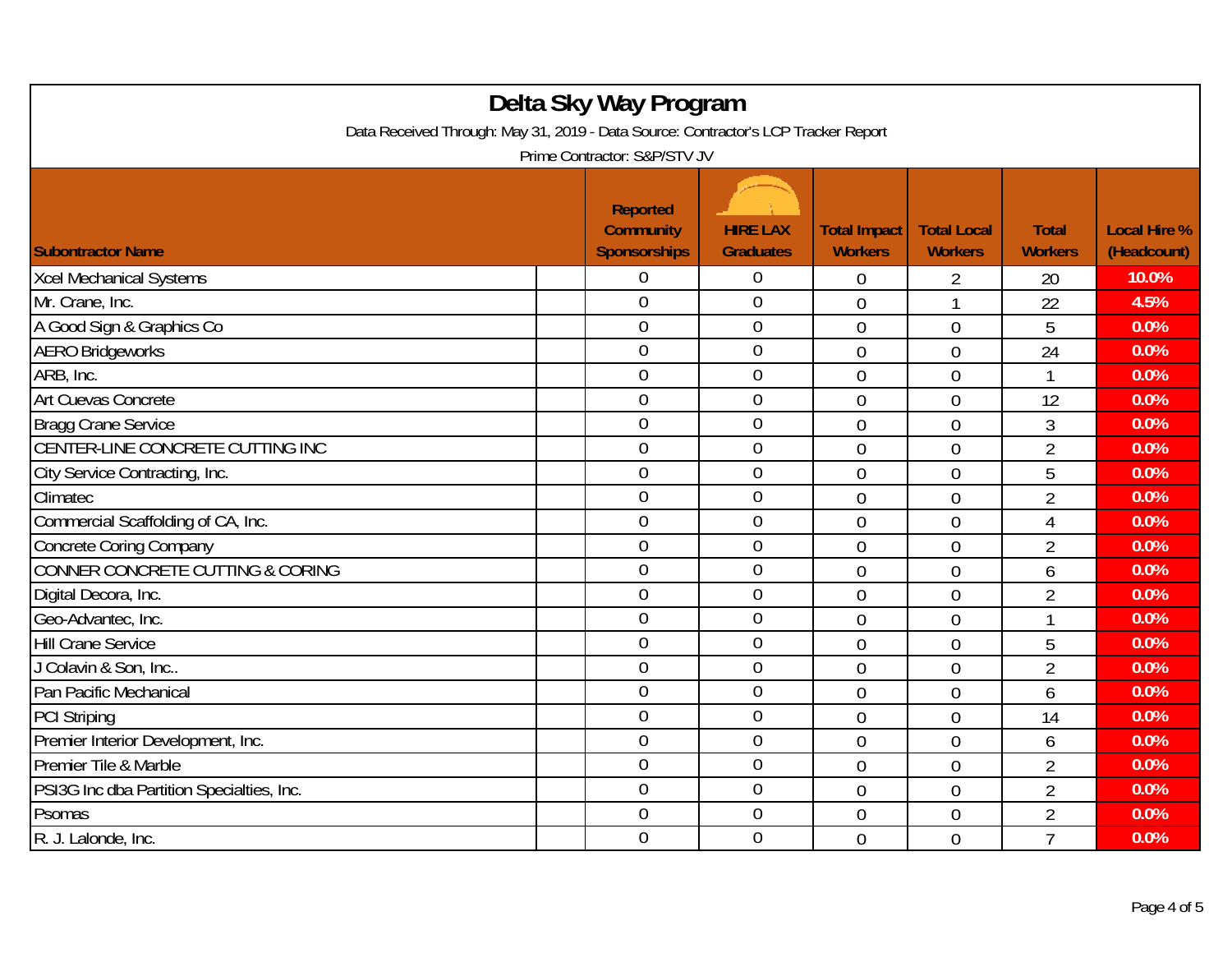| Delta Sky Way Program<br>Data Received Through: May 31, 2019 - Data Source: Contractor's LCP Tracker Report<br>Prime Contractor: S&P/STV JV |                                                            |                                     |                                       |                                      |                                |                                    |  |  |
|---------------------------------------------------------------------------------------------------------------------------------------------|------------------------------------------------------------|-------------------------------------|---------------------------------------|--------------------------------------|--------------------------------|------------------------------------|--|--|
| <b>Subontractor Name</b>                                                                                                                    | <b>Reported</b><br><b>Community</b><br><b>Sponsorships</b> | <b>HIRE LAX</b><br><b>Graduates</b> | <b>Total Impact</b><br><b>Workers</b> | <b>Total Local</b><br><b>Workers</b> | <b>Total</b><br><b>Workers</b> | <b>Local Hire %</b><br>(Headcount) |  |  |
| <b>Xcel Mechanical Systems</b>                                                                                                              | 0                                                          | $\overline{0}$                      | 0                                     | 2                                    | 20                             | 10.0%                              |  |  |
| Mr. Crane, Inc.                                                                                                                             | $\overline{0}$                                             | $\overline{0}$                      | $\overline{0}$                        | 1                                    | 22                             | 4.5%                               |  |  |
| A Good Sign & Graphics Co                                                                                                                   | $\boldsymbol{0}$                                           | $\boldsymbol{0}$                    | $\overline{0}$                        | $\overline{0}$                       | 5                              | 0.0%                               |  |  |
| <b>AERO Bridgeworks</b>                                                                                                                     | $\boldsymbol{0}$                                           | $\boldsymbol{0}$                    | $\overline{0}$                        | $\overline{0}$                       | 24                             | 0.0%                               |  |  |
| ARB, Inc.                                                                                                                                   | $\overline{0}$                                             | $\mathbf 0$                         | $\overline{0}$                        | $\overline{0}$                       | 1                              | 0.0%                               |  |  |
| Art Cuevas Concrete                                                                                                                         | $\boldsymbol{0}$                                           | $\mathbf 0$                         | $\overline{0}$                        | $\overline{0}$                       | 12                             | 0.0%                               |  |  |
| <b>Bragg Crane Service</b>                                                                                                                  | $\overline{0}$                                             | $\overline{0}$                      | $\mathbf 0$                           | $\overline{0}$                       | 3                              | 0.0%                               |  |  |
| CENTER-LINE CONCRETE CUTTING INC                                                                                                            | $\overline{0}$                                             | $\mathbf 0$                         | $\overline{0}$                        | $\overline{0}$                       | $\overline{2}$                 | 0.0%                               |  |  |
| City Service Contracting, Inc.                                                                                                              | $\overline{0}$                                             | $\boldsymbol{0}$                    | $\overline{0}$                        | $\overline{0}$                       | 5                              | 0.0%                               |  |  |
| Climatec                                                                                                                                    | $\boldsymbol{0}$                                           | $\mathbf 0$                         | $\mathbf 0$                           | $\overline{0}$                       | $\overline{2}$                 | 0.0%                               |  |  |
| Commercial Scaffolding of CA, Inc.                                                                                                          | $\overline{0}$                                             | $\mathbf 0$                         | $\overline{0}$                        | $\overline{0}$                       | $\overline{4}$                 | 0.0%                               |  |  |
| <b>Concrete Coring Company</b>                                                                                                              | $\overline{0}$                                             | $\mathbf 0$                         | $\overline{0}$                        | $\overline{0}$                       | $\overline{2}$                 | 0.0%                               |  |  |
| CONNER CONCRETE CUTTING & CORING                                                                                                            | $\overline{0}$                                             | $\mathbf 0$                         | $\overline{0}$                        | $\overline{0}$                       | 6                              | 0.0%                               |  |  |
| Digital Decora, Inc.                                                                                                                        | $\overline{0}$                                             | $\mathbf 0$                         | $\overline{0}$                        | $\overline{0}$                       | $\overline{2}$                 | 0.0%                               |  |  |
| Geo-Advantec, Inc.                                                                                                                          | $\boldsymbol{0}$                                           | $\boldsymbol{0}$                    | $\mathbf 0$                           | $\overline{0}$                       | 1                              | 0.0%                               |  |  |
| <b>Hill Crane Service</b>                                                                                                                   | $\boldsymbol{0}$                                           | $\boldsymbol{0}$                    | $\overline{0}$                        | $\overline{0}$                       | 5                              | 0.0%                               |  |  |
| J Colavin & Son, Inc                                                                                                                        | $\overline{0}$                                             | $\overline{0}$                      | $\overline{0}$                        | $\overline{0}$                       | $\overline{2}$                 | 0.0%                               |  |  |
| Pan Pacific Mechanical                                                                                                                      | $\overline{0}$                                             | $\overline{0}$                      | $\mathbf 0$                           | $\overline{0}$                       | 6                              | 0.0%                               |  |  |
| <b>PCI Striping</b>                                                                                                                         | $\overline{0}$                                             | $\mathbf 0$                         | $\overline{0}$                        | $\overline{0}$                       | 14                             | 0.0%                               |  |  |
| Premier Interior Development, Inc.                                                                                                          | $\boldsymbol{0}$                                           | $\mathbf 0$                         | $\overline{0}$                        | $\overline{0}$                       | 6                              | 0.0%                               |  |  |
| Premier Tile & Marble                                                                                                                       | $\overline{0}$                                             | $\mathbf 0$                         | $\overline{0}$                        | $\overline{0}$                       | $\overline{2}$                 | 0.0%                               |  |  |
| PSI3G Inc dba Partition Specialties, Inc.                                                                                                   | $\overline{0}$                                             | $\mathbf 0$                         | $\overline{0}$                        | $\overline{0}$                       | $\overline{2}$                 | 0.0%                               |  |  |
| Psomas                                                                                                                                      | $\overline{0}$                                             | $\boldsymbol{0}$                    | $\mathbf 0$                           | $\overline{0}$                       | $\overline{2}$                 | 0.0%                               |  |  |
| R. J. Lalonde, Inc.                                                                                                                         | $\overline{0}$                                             | $\mathbf 0$                         | $\overline{0}$                        | $\overline{0}$                       | $\overline{1}$                 | 0.0%                               |  |  |